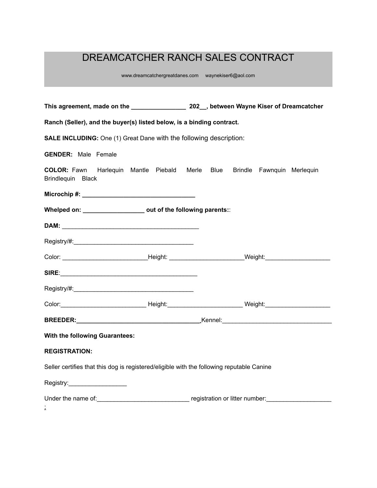# DREAMCATCHER RANCH SALES CONTRACT

www.dreamcatchergreatdanes.com waynekiser6@aol.com

| Ranch (Seller), and the buyer(s) listed below, is a binding contract.                           |                                                                                                                |  |
|-------------------------------------------------------------------------------------------------|----------------------------------------------------------------------------------------------------------------|--|
| <b>SALE INCLUDING:</b> One (1) Great Dane with the following description:                       |                                                                                                                |  |
| <b>GENDER:</b> Male Female                                                                      |                                                                                                                |  |
| COLOR: Fawn Harlequin Mantle Piebald Merle Blue Brindle Fawnquin Merlequin<br>Brindlequin Black |                                                                                                                |  |
|                                                                                                 |                                                                                                                |  |
| Whelped on: _____________________ out of the following parents::                                |                                                                                                                |  |
|                                                                                                 |                                                                                                                |  |
|                                                                                                 |                                                                                                                |  |
|                                                                                                 | Color: ___________________________________Height: ______________________________Weight: ______________________ |  |
|                                                                                                 |                                                                                                                |  |
|                                                                                                 |                                                                                                                |  |
|                                                                                                 |                                                                                                                |  |
|                                                                                                 |                                                                                                                |  |
| With the following Guarantees:                                                                  |                                                                                                                |  |
| <b>REGISTRATION:</b>                                                                            |                                                                                                                |  |
| Seller certifies that this dog is registered/eligible with the following reputable Canine       |                                                                                                                |  |
| Registry:____________________                                                                   |                                                                                                                |  |
|                                                                                                 |                                                                                                                |  |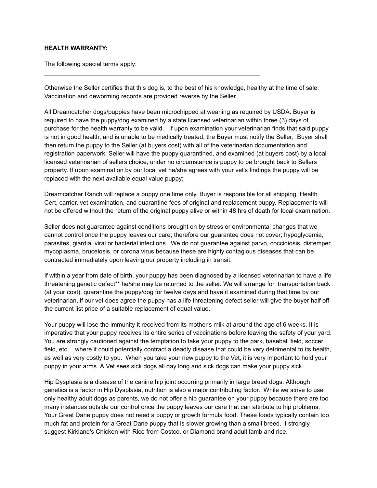## **HEALTH WARRANTY:**

The following special terms apply:

Otherwise the Seller certifies that this dog is, to the best of his knowledge, healthy at the time of sale. Vaccination and deworming records are provided reverse by the Seller.

\_\_\_\_\_\_\_\_\_\_\_\_\_\_\_\_\_\_\_\_\_\_\_\_\_\_\_\_\_\_\_\_\_\_\_\_\_\_\_\_\_\_\_\_\_\_\_\_\_\_\_\_\_\_\_\_\_\_\_\_\_\_\_

All Dreamcatcher dogs/puppies have been microchipped at weaning as required by USDA. Buyer is required to have the puppy/dog examined by a state licensed veterinarian within three (3) days of purchase for the health warranty to be valid. If upon examination your veterinarian finds that said puppy is not in good health, and is unable to be medically treated, the Buyer must notify the Seller; Buyer shall then return the puppy to the Seller (at buyers cost) with all of the veterinarian documentation and registration paperwork; Seller will have the puppy quarantined, and examined (at buyers cost) by a local licensed veterinarian of sellers choice, under no circumstance is puppy to be brought back to Sellers property. If upon examination by our local vet he/she agrees with your vet's findings the puppy will be replaced with the next available equal value puppy;

Dreamcatcher Ranch will replace a puppy one time only. Buyer is responsible for all shipping, Health Cert, carrier, vet examination, and quarantine fees of original and replacement puppy. Replacements will not be offered without the return of the original puppy alive or within 48 hrs of death for local examination.

Seller does not guarantee against conditions brought on by stress or environmental changes that we cannot control once the puppy leaves our care; therefore our guarantee does not cover; hypoglycemia, parasites, giardia, viral or bacterial infections. We do not guarantee against parvo, coccidiosis, distemper, mycoplasma, brucelosis, or corona virus because these are highly contagious diseases that can be contracted immediately upon leaving our property including in transit.

If within a year from date of birth, your puppy has been diagnosed by a licensed veterinarian to have a life threatening genetic defect\*\* he/she may be returned to the seller. We will arrange for transportation back (at your cost), quarantine the puppy/dog for twelve days and have it examined during that time by our veterinarian, if our vet does agree the puppy has a life threatening defect seller will give the buyer half off the current list price of a suitable replacement of equal value.

Your puppy will lose the immunity it received from its mother's milk at around the age of 6 weeks. It is imperative that your puppy receives its entire series of vaccinations before leaving the safety of your yard. You are strongly cautioned against the temptation to take your puppy to the park, baseball field, soccer field, etc… where it could potentially contract a deadly disease that could be very detrimental to its health, as well as very costly to you. When you take your new puppy to the Vet, it is very important to hold your puppy in your arms. A Vet sees sick dogs all day long and sick dogs can make your puppy sick.

Hip Dysplasia is a disease of the canine hip joint occurring primarily in large breed dogs. Although genetics is a factor in Hip Dysplasia, nutrition is also a major contributing factor. While we strive to use only healthy adult dogs as parents, we do not offer a hip guarantee on your puppy because there are too many instances outside our control once the puppy leaves our care that can attribute to hip problems. Your Great Dane puppy does not need a puppy or growth formula food. These foods typically contain too much fat and protein for a Great Dane puppy that is slower growing than a small breed. I strongly suggest Kirkland's Chicken with Rice from Costco, or Diamond brand adult lamb and rice.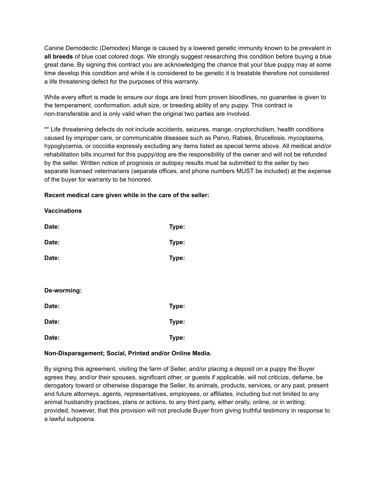Canine Demodectic (Demodex) Mange is caused by a lowered genetic immunity known to be prevalent in **all breeds** of blue coat colored dogs. We strongly suggest researching this condition before buying a blue great dane. By signing this contract you are acknowledging the chance that your blue puppy may at some time develop this condition and while it is considered to be genetic it is treatable therefore not considered a life threatening defect for the purposes of this warranty.

While every effort is made to ensure our dogs are bred from proven bloodlines, no guarantee is given to the temperament, conformation, adult size, or breeding ability of any puppy. This contract is non-transferable and is only valid when the original two parties are involved.

\*\* Life threatening defects do not include accidents, seizures, mange, cryptorchidism, health conditions caused by improper care, or communicable diseases such as Parvo, Rabies, Brucellosis, mycoplasma, hypoglycemia, or coccidia expressly excluding any items listed as special terms above. All medical and/or rehabilitation bills incurred for this puppy/dog are the responsibility of the owner and will not be refunded by the seller. Written notice of prognosis or autopsy results must be submitted to the seller by two separate licensed veterinarians (separate offices, and phone numbers MUST be included) at the expense of the buyer for warranty to be honored.

## **Recent medical care given while in the care of the seller:**

## **Vaccinations**

| Date:       | Type: |
|-------------|-------|
| Date:       | Type: |
| Date:       | Type: |
|             |       |
| De-worming: |       |
| Date:       | Type: |
| Date:       | Type: |
| Date:       | Type: |

## **Non-Disparagement; Social, Printed and/or Online Media.**

By signing this agreement, visiting the farm of Seller, and/or placing a deposit on a puppy the Buyer agrees they, and/or their spouses, significant other, or guests if applicable, will not criticize, defame, be derogatory toward or otherwise disparage the Seller, its animals, products, services, or any past, present and future attorneys, agents, representatives, employees, or affiliates, including but not limited to any animal husbandry practices, plans or actions, to any third party, either orally, online, or in writing; provided, however, that this provision will not preclude Buyer from giving truthful testimony in response to a lawful subpoena.